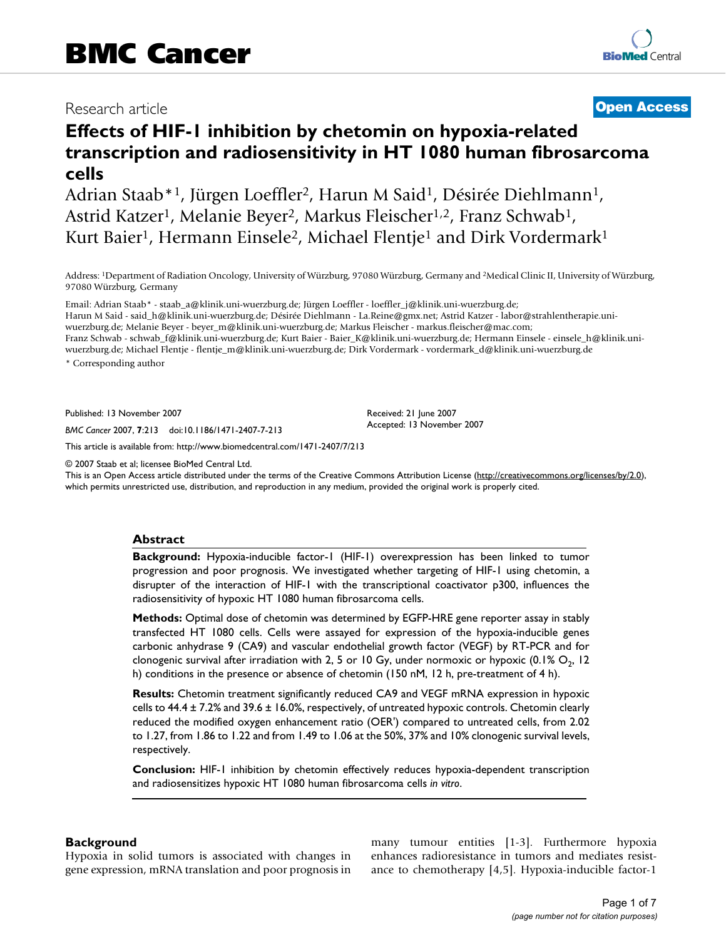# Research article **[Open Access](http://www.biomedcentral.com/info/about/charter/)**

# **Effects of HIF-1 inhibition by chetomin on hypoxia-related transcription and radiosensitivity in HT 1080 human fibrosarcoma cells**

Adrian Staab<sup>\*1</sup>, Jürgen Loeffler<sup>2</sup>, Harun M Said<sup>1</sup>, Désirée Diehlmann<sup>1</sup>, Astrid Katzer<sup>1</sup>, Melanie Beyer<sup>2</sup>, Markus Fleischer<sup>1,2</sup>, Franz Schwab<sup>1</sup>, Kurt Baier<sup>1</sup>, Hermann Einsele<sup>2</sup>, Michael Flentje<sup>1</sup> and Dirk Vordermark<sup>1</sup>

Address: 1Department of Radiation Oncology, University of Würzburg, 97080 Würzburg, Germany and 2Medical Clinic II, University of Würzburg, 97080 Würzburg, Germany

Email: Adrian Staab\* - staab\_a@klinik.uni-wuerzburg.de; Jürgen Loeffler - loeffler\_j@klinik.uni-wuerzburg.de; Harun M Said - said\_h@klinik.uni-wuerzburg.de; Désirée Diehlmann - La.Reine@gmx.net; Astrid Katzer - labor@strahlentherapie.uniwuerzburg.de; Melanie Beyer - beyer\_m@klinik.uni-wuerzburg.de; Markus Fleischer - markus.fleischer@mac.com; Franz Schwab - schwab\_f@klinik.uni-wuerzburg.de; Kurt Baier - Baier\_K@klinik.uni-wuerzburg.de; Hermann Einsele - einsele\_h@klinik.uniwuerzburg.de; Michael Flentje - flentje\_m@klinik.uni-wuerzburg.de; Dirk Vordermark - vordermark\_d@klinik.uni-wuerzburg.de

\* Corresponding author

Published: 13 November 2007

*BMC Cancer* 2007, **7**:213 doi:10.1186/1471-2407-7-213

[This article is available from: http://www.biomedcentral.com/1471-2407/7/213](http://www.biomedcentral.com/1471-2407/7/213)

© 2007 Staab et al; licensee BioMed Central Ltd.

This is an Open Access article distributed under the terms of the Creative Commons Attribution License [\(http://creativecommons.org/licenses/by/2.0\)](http://creativecommons.org/licenses/by/2.0), which permits unrestricted use, distribution, and reproduction in any medium, provided the original work is properly cited.

Received: 21 June 2007 Accepted: 13 November 2007

#### **Abstract**

**Background:** Hypoxia-inducible factor-1 (HIF-1) overexpression has been linked to tumor progression and poor prognosis. We investigated whether targeting of HIF-1 using chetomin, a disrupter of the interaction of HIF-1 with the transcriptional coactivator p300, influences the radiosensitivity of hypoxic HT 1080 human fibrosarcoma cells.

**Methods:** Optimal dose of chetomin was determined by EGFP-HRE gene reporter assay in stably transfected HT 1080 cells. Cells were assayed for expression of the hypoxia-inducible genes carbonic anhydrase 9 (CA9) and vascular endothelial growth factor (VEGF) by RT-PCR and for clonogenic survival after irradiation with 2, 5 or 10 Gy, under normoxic or hypoxic (0.1%  $O_2$ , 12 h) conditions in the presence or absence of chetomin (150 nM, 12 h, pre-treatment of 4 h).

**Results:** Chetomin treatment significantly reduced CA9 and VEGF mRNA expression in hypoxic cells to  $44.4 \pm 7.2\%$  and  $39.6 \pm 16.0\%$ , respectively, of untreated hypoxic controls. Chetomin clearly reduced the modified oxygen enhancement ratio (OER') compared to untreated cells, from 2.02 to 1.27, from 1.86 to 1.22 and from 1.49 to 1.06 at the 50%, 37% and 10% clonogenic survival levels, respectively.

**Conclusion:** HIF-1 inhibition by chetomin effectively reduces hypoxia-dependent transcription and radiosensitizes hypoxic HT 1080 human fibrosarcoma cells *in vitro*.

#### **Background**

Hypoxia in solid tumors is associated with changes in gene expression, mRNA translation and poor prognosis in many tumour entities [1-3]. Furthermore hypoxia enhances radioresistance in tumors and mediates resistance to chemotherapy [4,5]. Hypoxia-inducible factor-1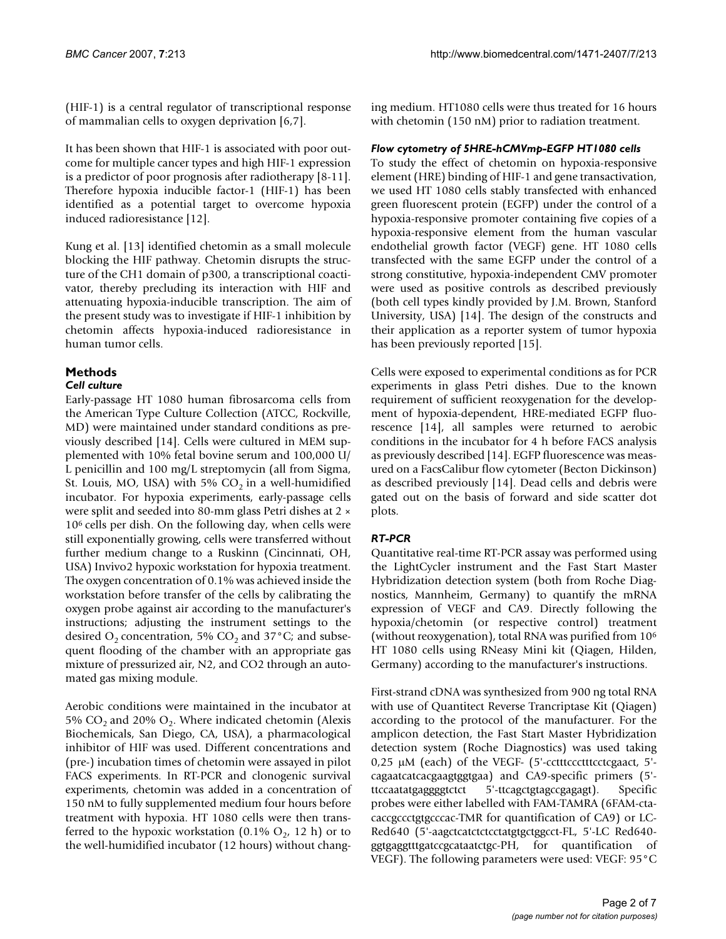(HIF-1) is a central regulator of transcriptional response of mammalian cells to oxygen deprivation [6,7].

It has been shown that HIF-1 is associated with poor outcome for multiple cancer types and high HIF-1 expression is a predictor of poor prognosis after radiotherapy [8-11]. Therefore hypoxia inducible factor-1 (HIF-1) has been identified as a potential target to overcome hypoxia induced radioresistance [12].

Kung et al. [13] identified chetomin as a small molecule blocking the HIF pathway. Chetomin disrupts the structure of the CH1 domain of p300, a transcriptional coactivator, thereby precluding its interaction with HIF and attenuating hypoxia-inducible transcription. The aim of the present study was to investigate if HIF-1 inhibition by chetomin affects hypoxia-induced radioresistance in human tumor cells.

# **Methods**

### *Cell culture*

Early-passage HT 1080 human fibrosarcoma cells from the American Type Culture Collection (ATCC, Rockville, MD) were maintained under standard conditions as previously described [14]. Cells were cultured in MEM supplemented with 10% fetal bovine serum and 100,000 U/ L penicillin and 100 mg/L streptomycin (all from Sigma, St. Louis, MO, USA) with 5%  $CO<sub>2</sub>$  in a well-humidified incubator. For hypoxia experiments, early-passage cells were split and seeded into 80-mm glass Petri dishes at 2 × 106 cells per dish. On the following day, when cells were still exponentially growing, cells were transferred without further medium change to a Ruskinn (Cincinnati, OH, USA) Invivo2 hypoxic workstation for hypoxia treatment. The oxygen concentration of 0.1% was achieved inside the workstation before transfer of the cells by calibrating the oxygen probe against air according to the manufacturer's instructions; adjusting the instrument settings to the desired  $O_2$  concentration, 5% CO<sub>2</sub> and 37°C; and subsequent flooding of the chamber with an appropriate gas mixture of pressurized air, N2, and CO2 through an automated gas mixing module.

Aerobic conditions were maintained in the incubator at 5%  $CO<sub>2</sub>$  and 20%  $O<sub>2</sub>$ . Where indicated chetomin (Alexis Biochemicals, San Diego, CA, USA), a pharmacological inhibitor of HIF was used. Different concentrations and (pre-) incubation times of chetomin were assayed in pilot FACS experiments. In RT-PCR and clonogenic survival experiments, chetomin was added in a concentration of 150 nM to fully supplemented medium four hours before treatment with hypoxia. HT 1080 cells were then transferred to the hypoxic workstation  $(0.1\% \text{ O}_{21})$  12 h) or to the well-humidified incubator (12 hours) without changing medium. HT1080 cells were thus treated for 16 hours with chetomin (150 nM) prior to radiation treatment.

# *Flow cytometry of 5HRE-hCMVmp-EGFP HT1080 cells*

To study the effect of chetomin on hypoxia-responsive element (HRE) binding of HIF-1 and gene transactivation, we used HT 1080 cells stably transfected with enhanced green fluorescent protein (EGFP) under the control of a hypoxia-responsive promoter containing five copies of a hypoxia-responsive element from the human vascular endothelial growth factor (VEGF) gene. HT 1080 cells transfected with the same EGFP under the control of a strong constitutive, hypoxia-independent CMV promoter were used as positive controls as described previously (both cell types kindly provided by J.M. Brown, Stanford University, USA) [14]. The design of the constructs and their application as a reporter system of tumor hypoxia has been previously reported [15].

Cells were exposed to experimental conditions as for PCR experiments in glass Petri dishes. Due to the known requirement of sufficient reoxygenation for the development of hypoxia-dependent, HRE-mediated EGFP fluorescence [14], all samples were returned to aerobic conditions in the incubator for 4 h before FACS analysis as previously described [14]. EGFP fluorescence was measured on a FacsCalibur flow cytometer (Becton Dickinson) as described previously [14]. Dead cells and debris were gated out on the basis of forward and side scatter dot plots.

## *RT-PCR*

Quantitative real-time RT-PCR assay was performed using the LightCycler instrument and the Fast Start Master Hybridization detection system (both from Roche Diagnostics, Mannheim, Germany) to quantify the mRNA expression of VEGF and CA9. Directly following the hypoxia/chetomin (or respective control) treatment (without reoxygenation), total RNA was purified from 106 HT 1080 cells using RNeasy Mini kit (Qiagen, Hilden, Germany) according to the manufacturer's instructions.

First-strand cDNA was synthesized from 900 ng total RNA with use of Quantitect Reverse Trancriptase Kit (Qiagen) according to the protocol of the manufacturer. For the amplicon detection, the Fast Start Master Hybridization detection system (Roche Diagnostics) was used taking 0,25  $\mu$ M (each) of the VEGF- (5'-cctttccctttcctcgaact, 5'cagaatcatcacgaagtggtgaa) and CA9-specific primers (5' ttccaatatgaggggtctct 5'-ttcagctgtagccgagagt). Specific probes were either labelled with FAM-TAMRA (6FAM-ctacaccgccctgtgcccac-TMR for quantification of CA9) or LC-Red640 (5'-aagctcatctctcctatgtgctggcct-FL, 5'-LC Red640 ggtgaggtttgatccgcataatctgc-PH, for quantification of VEGF). The following parameters were used: VEGF: 95°C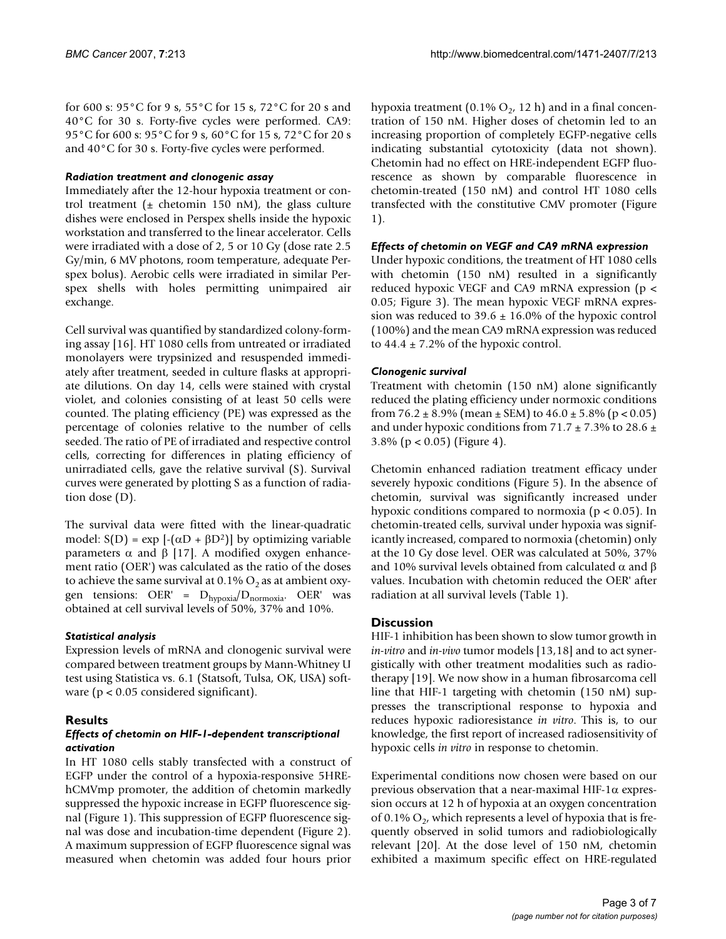for 600 s: 95°C for 9 s, 55°C for 15 s, 72°C for 20 s and 40°C for 30 s. Forty-five cycles were performed. CA9: 95°C for 600 s: 95°C for 9 s, 60°C for 15 s, 72°C for 20 s and 40°C for 30 s. Forty-five cycles were performed.

#### *Radiation treatment and clonogenic assay*

Immediately after the 12-hour hypoxia treatment or control treatment ( $\pm$  chetomin 150 nM), the glass culture dishes were enclosed in Perspex shells inside the hypoxic workstation and transferred to the linear accelerator. Cells were irradiated with a dose of 2, 5 or 10 Gy (dose rate 2.5 Gy/min, 6 MV photons, room temperature, adequate Perspex bolus). Aerobic cells were irradiated in similar Perspex shells with holes permitting unimpaired air exchange.

Cell survival was quantified by standardized colony-forming assay [16]. HT 1080 cells from untreated or irradiated monolayers were trypsinized and resuspended immediately after treatment, seeded in culture flasks at appropriate dilutions. On day 14, cells were stained with crystal violet, and colonies consisting of at least 50 cells were counted. The plating efficiency (PE) was expressed as the percentage of colonies relative to the number of cells seeded. The ratio of PE of irradiated and respective control cells, correcting for differences in plating efficiency of unirradiated cells, gave the relative survival (S). Survival curves were generated by plotting S as a function of radiation dose (D).

The survival data were fitted with the linear-quadratic model:  $S(D) = \exp [-(\alpha D + \beta D^2)]$  by optimizing variable parameters  $\alpha$  and  $\beta$  [17]. A modified oxygen enhancement ratio (OER') was calculated as the ratio of the doses to achieve the same survival at  $0.1\%$  O<sub>2</sub> as at ambient oxygen tensions: OER' =  $D_{hypoxia}/D_{normoxia}$ . OER' was obtained at cell survival levels of 50%, 37% and 10%.

### *Statistical analysis*

Expression levels of mRNA and clonogenic survival were compared between treatment groups by Mann-Whitney U test using Statistica vs. 6.1 (Statsoft, Tulsa, OK, USA) software (p < 0.05 considered significant).

### **Results**

## *Effects of chetomin on HIF-1-dependent transcriptional activation*

In HT 1080 cells stably transfected with a construct of EGFP under the control of a hypoxia-responsive 5HREhCMVmp promoter, the addition of chetomin markedly suppressed the hypoxic increase in EGFP fluorescence signal (Figure 1). This suppression of EGFP fluorescence signal was dose and incubation-time dependent (Figure 2). A maximum suppression of EGFP fluorescence signal was measured when chetomin was added four hours prior hypoxia treatment (0.1%  $O_2$ , 12 h) and in a final concentration of 150 nM. Higher doses of chetomin led to an increasing proportion of completely EGFP-negative cells indicating substantial cytotoxicity (data not shown). Chetomin had no effect on HRE-independent EGFP fluorescence as shown by comparable fluorescence in chetomin-treated (150 nM) and control HT 1080 cells transfected with the constitutive CMV promoter (Figure 1).

# *Effects of chetomin on VEGF and CA9 mRNA expression*

Under hypoxic conditions, the treatment of HT 1080 cells with chetomin (150 nM) resulted in a significantly reduced hypoxic VEGF and CA9 mRNA expression (p < 0.05; Figure 3). The mean hypoxic VEGF mRNA expression was reduced to  $39.6 \pm 16.0\%$  of the hypoxic control (100%) and the mean CA9 mRNA expression was reduced to  $44.4 \pm 7.2\%$  of the hypoxic control.

### *Clonogenic survival*

Treatment with chetomin (150 nM) alone significantly reduced the plating efficiency under normoxic conditions from  $76.2 \pm 8.9\%$  (mean  $\pm$  SEM) to  $46.0 \pm 5.8\%$  (p < 0.05) and under hypoxic conditions from  $71.7 \pm 7.3\%$  to  $28.6 \pm 1.7\%$ 3.8% (p < 0.05) (Figure 4).

Chetomin enhanced radiation treatment efficacy under severely hypoxic conditions (Figure 5). In the absence of chetomin, survival was significantly increased under hypoxic conditions compared to normoxia ( $p < 0.05$ ). In chetomin-treated cells, survival under hypoxia was significantly increased, compared to normoxia (chetomin) only at the 10 Gy dose level. OER was calculated at 50%, 37% and 10% survival levels obtained from calculated  $α$  and  $β$ values. Incubation with chetomin reduced the OER' after radiation at all survival levels (Table 1).

### **Discussion**

HIF-1 inhibition has been shown to slow tumor growth in *in-vitro* and *in-vivo* tumor models [13,18] and to act synergistically with other treatment modalities such as radiotherapy [19]. We now show in a human fibrosarcoma cell line that HIF-1 targeting with chetomin (150 nM) suppresses the transcriptional response to hypoxia and reduces hypoxic radioresistance *in vitro*. This is, to our knowledge, the first report of increased radiosensitivity of hypoxic cells *in vitro* in response to chetomin.

Experimental conditions now chosen were based on our previous observation that a near-maximal HIF-1α expression occurs at 12 h of hypoxia at an oxygen concentration of 0.1%  $O_2$ , which represents a level of hypoxia that is frequently observed in solid tumors and radiobiologically relevant [20]. At the dose level of 150 nM, chetomin exhibited a maximum specific effect on HRE-regulated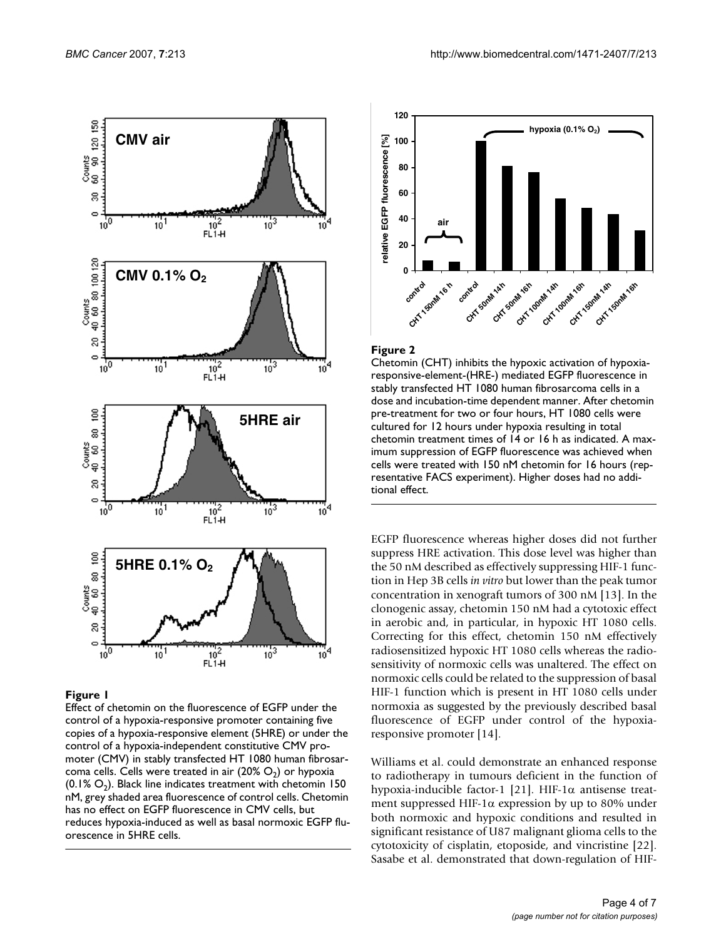

#### Figure I

Effect of chetomin on the fluorescence of EGFP under the control of a hypoxia-responsive promoter containing five copies of a hypoxia-responsive element (5HRE) or under the control of a hypoxia-independent constitutive CMV promoter (CMV) in stably transfected HT 1080 human fibrosarcoma cells. Cells were treated in air  $(20\% \text{ O}_2)$  or hypoxia  $(0.1\% \text{ O}_2)$ . Black line indicates treatment with chetomin 150 nM, grey shaded area fluorescence of control cells. Chetomin has no effect on EGFP fluorescence in CMV cells, but reduces hypoxia-induced as well as basal normoxic EGFP fluorescence in 5HRE cells.



#### Figure 2

Chetomin (CHT) inhibits the hypoxic activation of hypoxiaresponsive-element-(HRE-) mediated EGFP fluorescence in stably transfected HT 1080 human fibrosarcoma cells in a dose and incubation-time dependent manner. After chetomin pre-treatment for two or four hours, HT 1080 cells were cultured for 12 hours under hypoxia resulting in total chetomin treatment times of 14 or 16 h as indicated. A maximum suppression of EGFP fluorescence was achieved when cells were treated with 150 nM chetomin for 16 hours (representative FACS experiment). Higher doses had no additional effect.

EGFP fluorescence whereas higher doses did not further suppress HRE activation. This dose level was higher than the 50 nM described as effectively suppressing HIF-1 function in Hep 3B cells *in vitro* but lower than the peak tumor concentration in xenograft tumors of 300 nM [13]. In the clonogenic assay, chetomin 150 nM had a cytotoxic effect in aerobic and, in particular, in hypoxic HT 1080 cells. Correcting for this effect, chetomin 150 nM effectively radiosensitized hypoxic HT 1080 cells whereas the radiosensitivity of normoxic cells was unaltered. The effect on normoxic cells could be related to the suppression of basal HIF-1 function which is present in HT 1080 cells under normoxia as suggested by the previously described basal fluorescence of EGFP under control of the hypoxiaresponsive promoter [14].

Williams et al. could demonstrate an enhanced response to radiotherapy in tumours deficient in the function of hypoxia-inducible factor-1 [21]. HIF-1α antisense treatment suppressed HIF-1 $\alpha$  expression by up to 80% under both normoxic and hypoxic conditions and resulted in significant resistance of U87 malignant glioma cells to the cytotoxicity of cisplatin, etoposide, and vincristine [22]. Sasabe et al. demonstrated that down-regulation of HIF-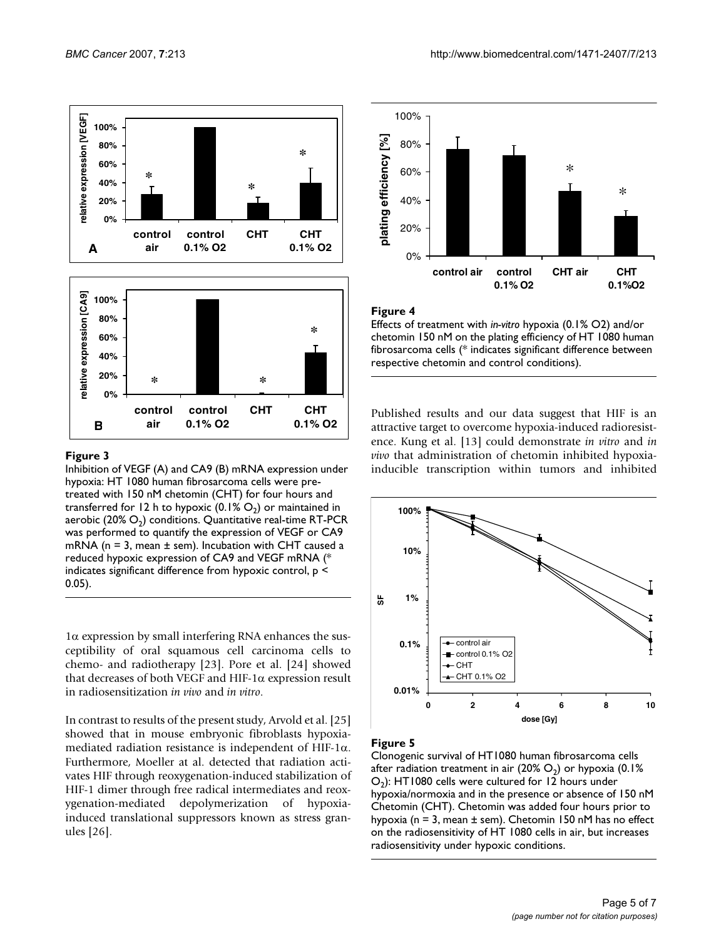

# **Expansion Construction Construction Construction Construction Construction Construction Construction Construction Construction Construction Construction Construction Construction Construction Construction Construction Con**

Inhibition of VEGF (A) and CA9 (B) mRNA expression under hypoxia: HT 1080 human fibrosarcoma cells were pretreated with 150 nM chetomin (CHT) for four hours and transferred for 12 h to hypoxic  $(0.1\% O_2)$  or maintained in aerobic (20%  $O<sub>2</sub>$ ) conditions. Quantitative real-time RT-PCR was performed to quantify the expression of VEGF or CA9 mRNA ( $n = 3$ , mean  $\pm$  sem). Incubation with CHT caused a reduced hypoxic expression of CA9 and VEGF mRNA (\* indicates significant difference from hypoxic control, p < 0.05).

 $1\alpha$  expression by small interfering RNA enhances the susceptibility of oral squamous cell carcinoma cells to chemo- and radiotherapy [23]. Pore et al. [24] showed that decreases of both VEGF and HIF-1α expression result in radiosensitization *in vivo* and *in vitro*.

In contrast to results of the present study, Arvold et al. [25] showed that in mouse embryonic fibroblasts hypoxiamediated radiation resistance is independent of HIF-1α. Furthermore, Moeller at al. detected that radiation activates HIF through reoxygenation-induced stabilization of HIF-1 dimer through free radical intermediates and reoxygenation-mediated depolymerization of hypoxiainduced translational suppressors known as stress granules [26].



### Figure 4

Effects of treatment with *in-vitro* hypoxia (0.1% O2) and/or chetomin 150 nM on the plating efficiency of HT 1080 human fibrosarcoma cells (\* indicates significant difference between respective chetomin and control conditions).

Published results and our data suggest that HIF is an attractive target to overcome hypoxia-induced radioresistence. Kung et al. [13] could demonstrate *in vitro* and *in vivo* that administration of chetomin inhibited hypoxiainducible transcription within tumors and inhibited



**Exercise 5** and the second second second second second second second second second second second second second second second second second second second second second second second second second second second second secon Clonogenic survival of HT1080 human fibrosarcoma cells after radiation treatment in air (20%  $O_2$ ) or hypoxia (0.1%  $O<sub>2</sub>$ ): HT1080 cells were cultured for 12 hours under hypoxia/normoxia and in the presence or absence of 150 nM Chetomin (CHT). Chetomin was added four hours prior to hypoxia ( $n = 3$ , mean  $\pm$  sem). Chetomin 150 nM has no effect on the radiosensitivity of HT 1080 cells in air, but increases radiosensitivity under hypoxic conditions.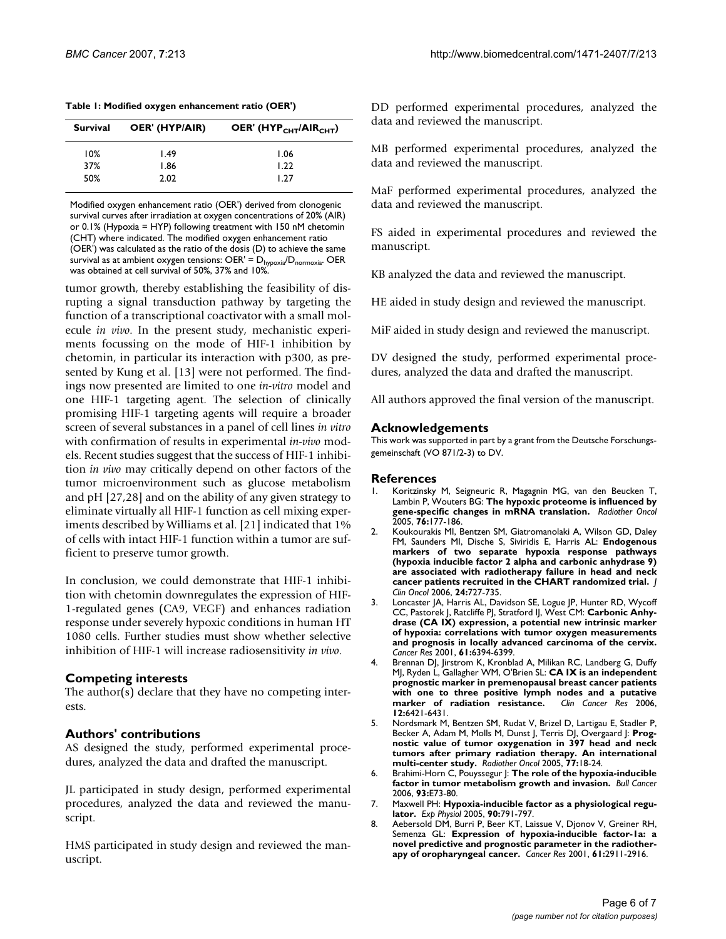|  | Table 1: Modified oxygen enhancement ratio (OER') |  |
|--|---------------------------------------------------|--|
|--|---------------------------------------------------|--|

| <b>Survival</b> | OER' (HYP/AIR) | OER' (HYP <sub>CHT</sub> /AIR <sub>CHT</sub> ) |
|-----------------|----------------|------------------------------------------------|
| 10%             | 1.49           | 1.06                                           |
| 37%             | 1.86           | 1.22                                           |
| 50%             | 2.02           | 1.27                                           |

Modified oxygen enhancement ratio (OER') derived from clonogenic survival curves after irradiation at oxygen concentrations of 20% (AIR) or 0.1% (Hypoxia = HYP) following treatment with 150 nM chetomin (CHT) where indicated. The modified oxygen enhancement ratio (OER') was calculated as the ratio of the dosis (D) to achieve the same survival as at ambient oxygen tensions: OER' =  $D_{hypoxia}/D_{normoxia}$ . OER was obtained at cell survival of 50%, 37% and 10%.

tumor growth, thereby establishing the feasibility of disrupting a signal transduction pathway by targeting the function of a transcriptional coactivator with a small molecule *in vivo*. In the present study, mechanistic experiments focussing on the mode of HIF-1 inhibition by chetomin, in particular its interaction with p300, as presented by Kung et al. [13] were not performed. The findings now presented are limited to one *in-vitro* model and one HIF-1 targeting agent. The selection of clinically promising HIF-1 targeting agents will require a broader screen of several substances in a panel of cell lines *in vitro* with confirmation of results in experimental *in-vivo* models. Recent studies suggest that the success of HIF-1 inhibition *in vivo* may critically depend on other factors of the tumor microenvironment such as glucose metabolism and pH [27,28] and on the ability of any given strategy to eliminate virtually all HIF-1 function as cell mixing experiments described by Williams et al. [21] indicated that 1% of cells with intact HIF-1 function within a tumor are sufficient to preserve tumor growth.

In conclusion, we could demonstrate that HIF-1 inhibition with chetomin downregulates the expression of HIF-1-regulated genes (CA9, VEGF) and enhances radiation response under severely hypoxic conditions in human HT 1080 cells. Further studies must show whether selective inhibition of HIF-1 will increase radiosensitivity *in vivo*.

### **Competing interests**

The author(s) declare that they have no competing interests.

### **Authors' contributions**

AS designed the study, performed experimental procedures, analyzed the data and drafted the manuscript.

JL participated in study design, performed experimental procedures, analyzed the data and reviewed the manuscript.

HMS participated in study design and reviewed the manuscript.

DD performed experimental procedures, analyzed the data and reviewed the manuscript.

MB performed experimental procedures, analyzed the data and reviewed the manuscript.

MaF performed experimental procedures, analyzed the data and reviewed the manuscript.

FS aided in experimental procedures and reviewed the manuscript.

KB analyzed the data and reviewed the manuscript.

HE aided in study design and reviewed the manuscript.

MiF aided in study design and reviewed the manuscript.

DV designed the study, performed experimental procedures, analyzed the data and drafted the manuscript.

All authors approved the final version of the manuscript.

#### **Acknowledgements**

This work was supported in part by a grant from the Deutsche Forschungsgemeinschaft (VO 871/2-3) to DV.

#### **References**

- 1. Koritzinsky M, Seigneuric R, Magagnin MG, van den Beucken T, Lambin P, Wouters BG: **[The hypoxic proteome is influenced by](http://www.ncbi.nlm.nih.gov/entrez/query.fcgi?cmd=Retrieve&db=PubMed&dopt=Abstract&list_uids=16098621) [gene-specific changes in mRNA translation.](http://www.ncbi.nlm.nih.gov/entrez/query.fcgi?cmd=Retrieve&db=PubMed&dopt=Abstract&list_uids=16098621)** *Radiother Oncol* 2005, **76:**177-186.
- 2. Koukourakis MI, Bentzen SM, Giatromanolaki A, Wilson GD, Daley FM, Saunders MI, Dische S, Siviridis E, Harris AL: **[Endogenous](http://www.ncbi.nlm.nih.gov/entrez/query.fcgi?cmd=Retrieve&db=PubMed&dopt=Abstract&list_uids=16418497) markers of two separate hypoxia response pathways [\(hypoxia inducible factor 2 alpha and carbonic anhydrase 9\)](http://www.ncbi.nlm.nih.gov/entrez/query.fcgi?cmd=Retrieve&db=PubMed&dopt=Abstract&list_uids=16418497) are associated with radiotherapy failure in head and neck [cancer patients recruited in the CHART randomized trial.](http://www.ncbi.nlm.nih.gov/entrez/query.fcgi?cmd=Retrieve&db=PubMed&dopt=Abstract&list_uids=16418497)** *J Clin Oncol* 2006, **24:**727-735.
- 3. Loncaster JA, Harris AL, Davidson SE, Logue JP, Hunter RD, Wycoff CC, Pastorek J, Ratcliffe PJ, Stratford IJ, West CM: **[Carbonic Anhy](http://www.ncbi.nlm.nih.gov/entrez/query.fcgi?cmd=Retrieve&db=PubMed&dopt=Abstract&list_uids=11522632)drase (CA IX) expression, a potential new intrinsic marker [of hypoxia: correlations with tumor oxygen measurements](http://www.ncbi.nlm.nih.gov/entrez/query.fcgi?cmd=Retrieve&db=PubMed&dopt=Abstract&list_uids=11522632) and prognosis in locally advanced carcinoma of the cervix.** *Cancer Res* 2001, **61:**6394-6399.
- 4. Brennan DJ, Jirstrom K, Kronblad A, Milikan RC, Landberg G, Duffy MJ, Ryden L, Gallagher WM, O'Brien SL: **[CA IX is an independent](http://www.ncbi.nlm.nih.gov/entrez/query.fcgi?cmd=Retrieve&db=PubMed&dopt=Abstract&list_uids=17085655) prognostic marker in premenopausal breast cancer patients [with one to three positive lymph nodes and a putative](http://www.ncbi.nlm.nih.gov/entrez/query.fcgi?cmd=Retrieve&db=PubMed&dopt=Abstract&list_uids=17085655)**  $marker$  of radiation resistance. **12:**6421-6431.
- 5. Nordsmark M, Bentzen SM, Rudat V, Brizel D, Lartigau E, Stadler P, Becker A, Adam M, Molls M, Dunst J, Terris DJ, Overgaard J: **[Prog](http://www.ncbi.nlm.nih.gov/entrez/query.fcgi?cmd=Retrieve&db=PubMed&dopt=Abstract&list_uids=16098619)nostic value of tumor oxygenation in 397 head and neck [tumors after primary radiation therapy. An international](http://www.ncbi.nlm.nih.gov/entrez/query.fcgi?cmd=Retrieve&db=PubMed&dopt=Abstract&list_uids=16098619) [multi-center study.](http://www.ncbi.nlm.nih.gov/entrez/query.fcgi?cmd=Retrieve&db=PubMed&dopt=Abstract&list_uids=16098619)** *Radiother Oncol* 2005, **77:**18-24.
- 6. Brahimi-Horn C, Pouyssegur J: **[The role of the hypoxia-inducible](http://www.ncbi.nlm.nih.gov/entrez/query.fcgi?cmd=Retrieve&db=PubMed&dopt=Abstract&list_uids=16935775) [factor in tumor metabolism growth and invasion.](http://www.ncbi.nlm.nih.gov/entrez/query.fcgi?cmd=Retrieve&db=PubMed&dopt=Abstract&list_uids=16935775)** *Bull Cancer* 2006, **93:**E73-80.
- 7. Maxwell PH: **[Hypoxia-inducible factor as a physiological regu](http://www.ncbi.nlm.nih.gov/entrez/query.fcgi?cmd=Retrieve&db=PubMed&dopt=Abstract&list_uids=16157658)[lator.](http://www.ncbi.nlm.nih.gov/entrez/query.fcgi?cmd=Retrieve&db=PubMed&dopt=Abstract&list_uids=16157658)** *Exp Physiol* 2005, **90:**791-797.
- 8. Aebersold DM, Burri P, Beer KT, Laissue V, Djonov V, Greiner RH, Semenza GL: **[Expression of hypoxia-inducible factor-1a: a](http://www.ncbi.nlm.nih.gov/entrez/query.fcgi?cmd=Retrieve&db=PubMed&dopt=Abstract&list_uids=11306467) [novel predictive and prognostic parameter in the radiother](http://www.ncbi.nlm.nih.gov/entrez/query.fcgi?cmd=Retrieve&db=PubMed&dopt=Abstract&list_uids=11306467)[apy of oropharyngeal cancer.](http://www.ncbi.nlm.nih.gov/entrez/query.fcgi?cmd=Retrieve&db=PubMed&dopt=Abstract&list_uids=11306467)** *Cancer Res* 2001, **61:**2911-2916.